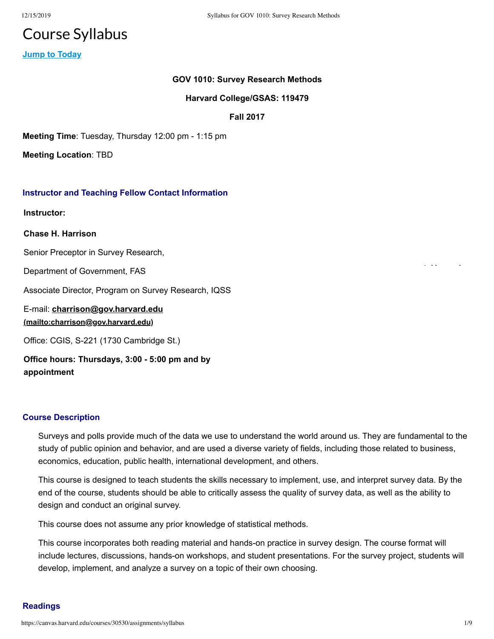12/15/2019

# **Course Syllabus**

**Jump to Today** 

## GOV 1010: Survey Research Methods

#### Harvard College/GSAS: 119479

**Fall 2017** 

Meeting Time: Tuesday, Thursday 12:00 pm - 1:15 pm

**Meeting Location: TBD** 

### **Instructor and Teaching Fellow Contact Information**

**Instructor:** 

**Chase H. Harrison** 

Senior Preceptor in Survey Research,

Department of Government, FAS

Associate Director, Program on Survey Research, IQSS

E-mail: charrison@gov.harvard.edu (mailto:charrison@gov.harvard.edu)

Office: CGIS, S-221 (1730 Cambridge St.)

Office hours: Thursdays, 3:00 - 5:00 pm and by appointment

#### **Course Description**

Surveys and polls provide much of the data we use to understand the world around us. They are fundamental to the study of public opinion and behavior, and are used a diverse variety of fields, including those related to business, economics, education, public health, international development, and others.

This course is designed to teach students the skills necessary to implement, use, and interpret survey data. By the end of the course, students should be able to critically assess the quality of survey data, as well as the ability to design and conduct an original survey.

This course does not assume any prior knowledge of statistical methods.

This course incorporates both reading material and hands-on practice in survey design. The course format will include lectures, discussions, hands-on workshops, and student presentations. For the survey project, students will develop, implement, and analyze a survey on a topic of their own choosing.

### **Readings**

24.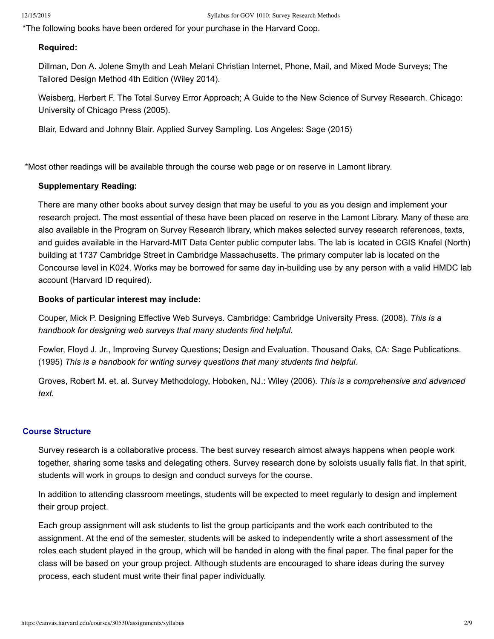\*The following books have been ordered for your purchase in the Harvard Coop.

#### **Required:**

Dillman, Don A. Jolene Smyth and Leah Melani Christian Internet, Phone, Mail, and Mixed Mode Surveys; The Tailored Design Method 4th Edition (Wiley 2014).

Weisberg, Herbert F. The Total Survey Error Approach: A Guide to the New Science of Survey Research. Chicago: University of Chicago Press (2005).

Blair, Edward and Johnny Blair. Applied Survey Sampling. Los Angeles: Sage (2015)

\*Most other readings will be available through the course web page or on reserve in Lamont library.

#### **Supplementary Reading:**

There are many other books about survey design that may be useful to you as you design and implement your research project. The most essential of these have been placed on reserve in the Lamont Library. Many of these are also available in the Program on Survey Research library, which makes selected survey research references, texts, and quides available in the Harvard-MIT Data Center public computer labs. The lab is located in CGIS Knafel (North) building at 1737 Cambridge Street in Cambridge Massachusetts. The primary computer lab is located on the Concourse level in K024. Works may be borrowed for same day in-building use by any person with a valid HMDC lab account (Harvard ID required).

#### Books of particular interest may include:

Couper, Mick P. Designing Effective Web Surveys. Cambridge: Cambridge University Press. (2008). This is a handbook for designing web surveys that many students find helpful.

Fowler, Floyd J. Jr., Improving Survey Questions; Design and Evaluation. Thousand Oaks, CA: Sage Publications. (1995) This is a handbook for writing survey questions that many students find helpful.

Groves, Robert M. et. al. Survey Methodology, Hoboken, NJ.: Wiley (2006). This is a comprehensive and advanced text.

#### **Course Structure**

Survey research is a collaborative process. The best survey research almost always happens when people work together, sharing some tasks and delegating others. Survey research done by soloists usually falls flat. In that spirit, students will work in groups to design and conduct surveys for the course.

In addition to attending classroom meetings, students will be expected to meet regularly to design and implement their group project.

Each group assignment will ask students to list the group participants and the work each contributed to the assignment. At the end of the semester, students will be asked to independently write a short assessment of the roles each student played in the group, which will be handed in along with the final paper. The final paper for the class will be based on your group project. Although students are encouraged to share ideas during the survey process, each student must write their final paper individually.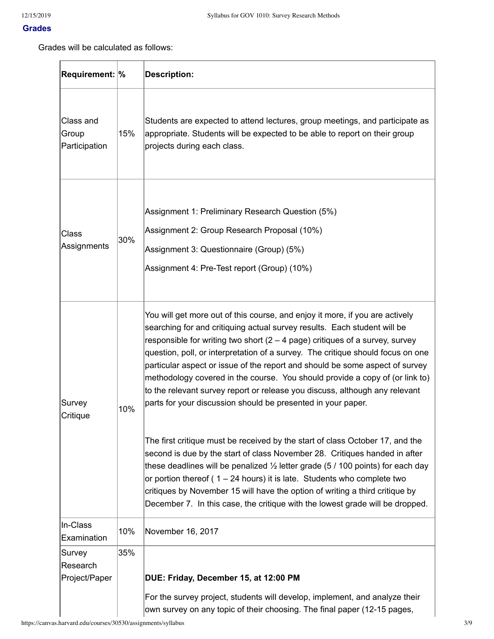### **Grades**

Grades will be calculated as follows:

| <b>Requirement: %</b>               |     | <b>Description:</b>                                                                                                                                                                                                                                                                                                                                                                                                                                                                                                                                                                                                                          |
|-------------------------------------|-----|----------------------------------------------------------------------------------------------------------------------------------------------------------------------------------------------------------------------------------------------------------------------------------------------------------------------------------------------------------------------------------------------------------------------------------------------------------------------------------------------------------------------------------------------------------------------------------------------------------------------------------------------|
| Class and<br>Group<br>Participation | 15% | Students are expected to attend lectures, group meetings, and participate as<br>appropriate. Students will be expected to be able to report on their group<br>projects during each class.                                                                                                                                                                                                                                                                                                                                                                                                                                                    |
| <b>Class</b><br>Assignments         | 30% | Assignment 1: Preliminary Research Question (5%)<br>Assignment 2: Group Research Proposal (10%)<br>Assignment 3: Questionnaire (Group) (5%)<br>Assignment 4: Pre-Test report (Group) (10%)                                                                                                                                                                                                                                                                                                                                                                                                                                                   |
| Survey<br>Critique                  | 10% | You will get more out of this course, and enjoy it more, if you are actively<br>searching for and critiquing actual survey results. Each student will be<br>responsible for writing two short $(2 - 4$ page) critiques of a survey, survey<br>question, poll, or interpretation of a survey. The critique should focus on one<br>particular aspect or issue of the report and should be some aspect of survey<br>methodology covered in the course. You should provide a copy of (or link to)<br>to the relevant survey report or release you discuss, although any relevant<br>parts for your discussion should be presented in your paper. |
|                                     |     | The first critique must be received by the start of class October 17, and the<br>second is due by the start of class November 28. Critiques handed in after<br>these deadlines will be penalized $\frac{1}{2}$ letter grade (5 / 100 points) for each day<br>or portion thereof ( $1 - 24$ hours) it is late. Students who complete two<br>critiques by November 15 will have the option of writing a third critique by<br>December 7. In this case, the critique with the lowest grade will be dropped.                                                                                                                                     |
| In-Class<br>Examination             | 10% | November 16, 2017                                                                                                                                                                                                                                                                                                                                                                                                                                                                                                                                                                                                                            |
| Survey<br>Research<br>Project/Paper | 35% | DUE: Friday, December 15, at 12:00 PM<br>For the survey project, students will develop, implement, and analyze their<br>own survey on any topic of their choosing. The final paper (12-15 pages,                                                                                                                                                                                                                                                                                                                                                                                                                                             |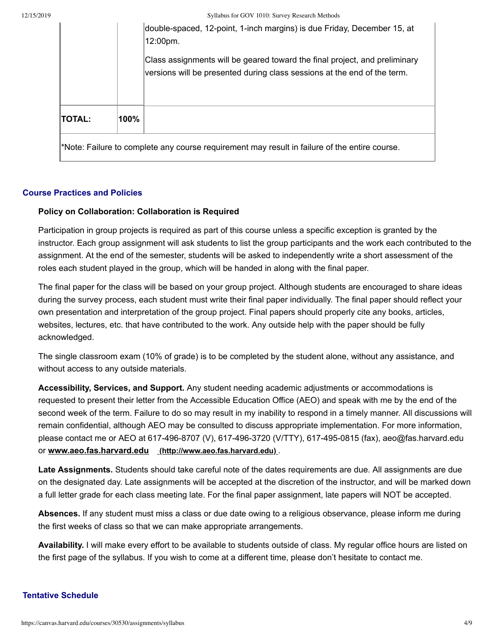Syllabus for GOV 1010: Survey Research Methods

|                                                                                               |      | double-spaced, 12-point, 1-inch margins) is due Friday, December 15, at<br>12:00pm.                                                                    |  |
|-----------------------------------------------------------------------------------------------|------|--------------------------------------------------------------------------------------------------------------------------------------------------------|--|
|                                                                                               |      | Class assignments will be geared toward the final project, and preliminary<br>versions will be presented during class sessions at the end of the term. |  |
| TOTAL:                                                                                        | 100% |                                                                                                                                                        |  |
| *Note: Failure to complete any course requirement may result in failure of the entire course. |      |                                                                                                                                                        |  |

#### **Course Practices and Policies**

#### Policy on Collaboration: Collaboration is Required

Participation in group projects is required as part of this course unless a specific exception is granted by the instructor. Each group assignment will ask students to list the group participants and the work each contributed to the assignment. At the end of the semester, students will be asked to independently write a short assessment of the roles each student played in the group, which will be handed in along with the final paper.

The final paper for the class will be based on your group project. Although students are encouraged to share ideas during the survey process, each student must write their final paper individually. The final paper should reflect your own presentation and interpretation of the group project. Final papers should properly cite any books, articles, websites, lectures, etc. that have contributed to the work. Any outside help with the paper should be fully acknowledged.

The single classroom exam (10% of grade) is to be completed by the student alone, without any assistance, and without access to any outside materials.

Accessibility, Services, and Support. Any student needing academic adjustments or accommodations is requested to present their letter from the Accessible Education Office (AEO) and speak with me by the end of the second week of the term. Failure to do so may result in my inability to respond in a timely manner. All discussions will remain confidential, although AEO may be consulted to discuss appropriate implementation. For more information, please contact me or AEO at 617-496-8707 (V), 617-496-3720 (V/TTY), 617-495-0815 (fax), aeo@fas.harvard.edu or www.aeo.fas.harvard.edu (http://www.aeo.fas.harvard.edu).

Late Assignments. Students should take careful note of the dates requirements are due. All assignments are due on the designated day. Late assignments will be accepted at the discretion of the instructor, and will be marked down a full letter grade for each class meeting late. For the final paper assignment, late papers will NOT be accepted.

Absences. If any student must miss a class or due date owing to a religious observance, please inform me during the first weeks of class so that we can make appropriate arrangements.

Availability. I will make every effort to be available to students outside of class. My regular office hours are listed on the first page of the syllabus. If you wish to come at a different time, please don't hesitate to contact me.

### **Tentative Schedule**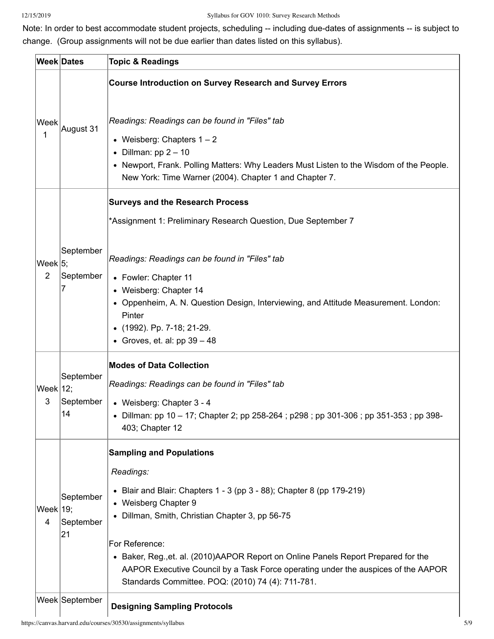Note: In order to best accommodate student projects, scheduling -- including due-dates of assignments -- is subject to change. (Group assignments will not be due earlier than dates listed on this syllabus).

|                               | <b>Week Dates</b>            | <b>Topic &amp; Readings</b>                                                                                                                                                                                                                                                                                                                                                                                                                              |
|-------------------------------|------------------------------|----------------------------------------------------------------------------------------------------------------------------------------------------------------------------------------------------------------------------------------------------------------------------------------------------------------------------------------------------------------------------------------------------------------------------------------------------------|
|                               | August 31                    | <b>Course Introduction on Survey Research and Survey Errors</b>                                                                                                                                                                                                                                                                                                                                                                                          |
| Week<br>1                     |                              | Readings: Readings can be found in "Files" tab<br>• Weisberg: Chapters $1 - 2$<br>• Dillman: $pp 2 - 10$<br>• Newport, Frank. Polling Matters: Why Leaders Must Listen to the Wisdom of the People.<br>New York: Time Warner (2004). Chapter 1 and Chapter 7.                                                                                                                                                                                            |
|                               |                              | <b>Surveys and the Research Process</b><br>*Assignment 1: Preliminary Research Question, Due September 7                                                                                                                                                                                                                                                                                                                                                 |
| Week $ 5$ ;<br>$\overline{2}$ | September<br>September<br>7  | Readings: Readings can be found in "Files" tab<br>• Fowler: Chapter 11<br>• Weisberg: Chapter 14<br>• Oppenheim, A. N. Question Design, Interviewing, and Attitude Measurement. London:<br>Pinter<br>• (1992). Pp. 7-18; 21-29.<br>• Groves, et. al: $pp 39 - 48$                                                                                                                                                                                        |
| Week $ 12$ ;<br>3             | September<br>September<br>14 | <b>Modes of Data Collection</b><br>Readings: Readings can be found in "Files" tab<br>• Weisberg: Chapter 3 - 4<br>• Dillman: pp 10 - 17; Chapter 2; pp 258-264; p298; pp 301-306; pp 351-353; pp 398-<br>403; Chapter 12                                                                                                                                                                                                                                 |
| Week $ 19;$<br>4              | September<br>September<br>21 | <b>Sampling and Populations</b><br>Readings:<br>• Blair and Blair: Chapters $1 - 3$ (pp $3 - 88$ ); Chapter 8 (pp 179-219)<br>• Weisberg Chapter 9<br>• Dillman, Smith, Christian Chapter 3, pp 56-75<br>For Reference:<br>• Baker, Reg., et. al. (2010) AAPOR Report on Online Panels Report Prepared for the<br>AAPOR Executive Council by a Task Force operating under the auspices of the AAPOR<br>Standards Committee. POQ: (2010) 74 (4): 711-781. |
|                               | Week September               | <b>Designing Sampling Protocols</b>                                                                                                                                                                                                                                                                                                                                                                                                                      |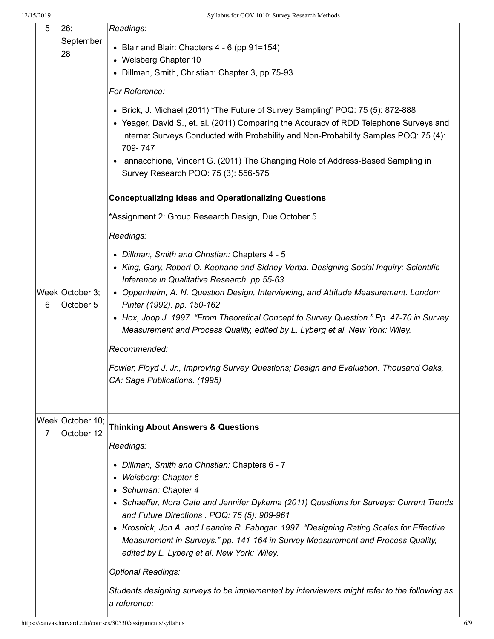| 5              | 26;<br>September<br>28         | Readings:                                                                                                                                                                                                                                                                                                                                                                                                |  |  |
|----------------|--------------------------------|----------------------------------------------------------------------------------------------------------------------------------------------------------------------------------------------------------------------------------------------------------------------------------------------------------------------------------------------------------------------------------------------------------|--|--|
|                |                                | • Blair and Blair: Chapters $4 - 6$ (pp $91 = 154$ )                                                                                                                                                                                                                                                                                                                                                     |  |  |
|                |                                | • Weisberg Chapter 10<br>• Dillman, Smith, Christian: Chapter 3, pp 75-93                                                                                                                                                                                                                                                                                                                                |  |  |
|                |                                | For Reference:                                                                                                                                                                                                                                                                                                                                                                                           |  |  |
|                |                                | • Brick, J. Michael (2011) "The Future of Survey Sampling" POQ: 75 (5): 872-888<br>• Yeager, David S., et. al. (2011) Comparing the Accuracy of RDD Telephone Surveys and<br>Internet Surveys Conducted with Probability and Non-Probability Samples POQ: 75 (4):<br>709-747<br>• Iannacchione, Vincent G. (2011) The Changing Role of Address-Based Sampling in<br>Survey Research POQ: 75 (3): 556-575 |  |  |
|                |                                | <b>Conceptualizing Ideas and Operationalizing Questions</b>                                                                                                                                                                                                                                                                                                                                              |  |  |
|                |                                | *Assignment 2: Group Research Design, Due October 5                                                                                                                                                                                                                                                                                                                                                      |  |  |
| 6              |                                | Readings:                                                                                                                                                                                                                                                                                                                                                                                                |  |  |
|                | Week October 3;<br>October 5   | • Dillman, Smith and Christian: Chapters 4 - 5                                                                                                                                                                                                                                                                                                                                                           |  |  |
|                |                                | • King, Gary, Robert O. Keohane and Sidney Verba. Designing Social Inquiry: Scientific<br>Inference in Qualitative Research. pp 55-63.                                                                                                                                                                                                                                                                   |  |  |
|                |                                | • Oppenheim, A. N. Question Design, Interviewing, and Attitude Measurement. London:<br>Pinter (1992). pp. 150-162                                                                                                                                                                                                                                                                                        |  |  |
|                |                                | • Hox, Joop J. 1997. "From Theoretical Concept to Survey Question." Pp. 47-70 in Survey<br>Measurement and Process Quality, edited by L. Lyberg et al. New York: Wiley.                                                                                                                                                                                                                                  |  |  |
|                |                                | Recommended:                                                                                                                                                                                                                                                                                                                                                                                             |  |  |
|                |                                | Fowler, Floyd J. Jr., Improving Survey Questions; Design and Evaluation. Thousand Oaks,<br>CA: Sage Publications. (1995)                                                                                                                                                                                                                                                                                 |  |  |
| $\overline{7}$ | Week October 10;<br>October 12 | <b>Thinking About Answers &amp; Questions</b>                                                                                                                                                                                                                                                                                                                                                            |  |  |
|                |                                | Readings:                                                                                                                                                                                                                                                                                                                                                                                                |  |  |
|                |                                | Dillman, Smith and Christian: Chapters 6 - 7<br>Weisberg: Chapter 6<br>٠<br>• Schuman: Chapter 4                                                                                                                                                                                                                                                                                                         |  |  |
|                |                                | • Schaeffer, Nora Cate and Jennifer Dykema (2011) Questions for Surveys: Current Trends                                                                                                                                                                                                                                                                                                                  |  |  |
|                |                                | and Future Directions . POQ: 75 (5): 909-961<br>• Krosnick, Jon A. and Leandre R. Fabrigar. 1997. "Designing Rating Scales for Effective<br>Measurement in Surveys." pp. 141-164 in Survey Measurement and Process Quality,<br>edited by L. Lyberg et al. New York: Wiley.                                                                                                                               |  |  |
|                |                                | <b>Optional Readings:</b>                                                                                                                                                                                                                                                                                                                                                                                |  |  |
|                |                                | Students designing surveys to be implemented by interviewers might refer to the following as<br>a reference:                                                                                                                                                                                                                                                                                             |  |  |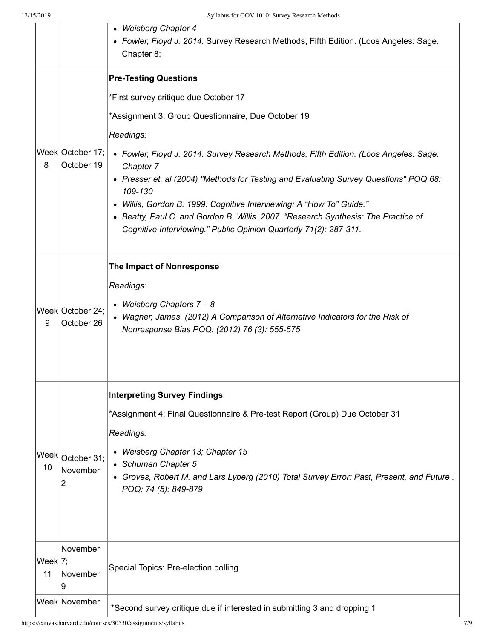|                  |                                | • Weisberg Chapter 4<br>• Fowler, Floyd J. 2014. Survey Research Methods, Fifth Edition. (Loos Angeles: Sage.<br>Chapter 8;                             |
|------------------|--------------------------------|---------------------------------------------------------------------------------------------------------------------------------------------------------|
|                  |                                | <b>Pre-Testing Questions</b>                                                                                                                            |
|                  |                                | *First survey critique due October 17                                                                                                                   |
|                  |                                | *Assignment 3: Group Questionnaire, Due October 19                                                                                                      |
|                  |                                | Readings:                                                                                                                                               |
| 8                | Week October 17;<br>October 19 | • Fowler, Floyd J. 2014. Survey Research Methods, Fifth Edition. (Loos Angeles: Sage.<br>Chapter 7                                                      |
|                  |                                | • Presser et. al (2004) "Methods for Testing and Evaluating Survey Questions" POQ 68:<br>109-130                                                        |
|                  |                                | • Willis, Gordon B. 1999. Cognitive Interviewing: A "How To" Guide."                                                                                    |
|                  |                                | • Beatty, Paul C. and Gordon B. Willis. 2007. "Research Synthesis: The Practice of<br>Cognitive Interviewing." Public Opinion Quarterly 71(2): 287-311. |
|                  |                                | The Impact of Nonresponse                                                                                                                               |
|                  |                                | Readings:                                                                                                                                               |
|                  | Week October 24;               | • Weisberg Chapters 7 - 8                                                                                                                               |
| 9                | October 26                     | • Wagner, James. (2012) A Comparison of Alternative Indicators for the Risk of<br>Nonresponse Bias POQ: (2012) 76 (3): 555-575                          |
|                  |                                | <b>Interpreting Survey Findings</b>                                                                                                                     |
|                  |                                | *Assignment 4: Final Questionnaire & Pre-test Report (Group) Due October 31                                                                             |
|                  |                                | Readings:                                                                                                                                               |
|                  | Week October 31;               | • Weisberg Chapter 13; Chapter 15                                                                                                                       |
| 10               | November                       | • Schuman Chapter 5<br>• Groves, Robert M. and Lars Lyberg (2010) Total Survey Error: Past, Present, and Future.                                        |
|                  | 2                              | POQ: 74 (5): 849-879                                                                                                                                    |
|                  |                                |                                                                                                                                                         |
|                  |                                |                                                                                                                                                         |
|                  | November                       |                                                                                                                                                         |
| Week $ 7;$<br>11 | November<br>9                  | Special Topics: Pre-election polling                                                                                                                    |
|                  | Week November                  | *Second survey critique due if interested in submitting 3 and dropping 1                                                                                |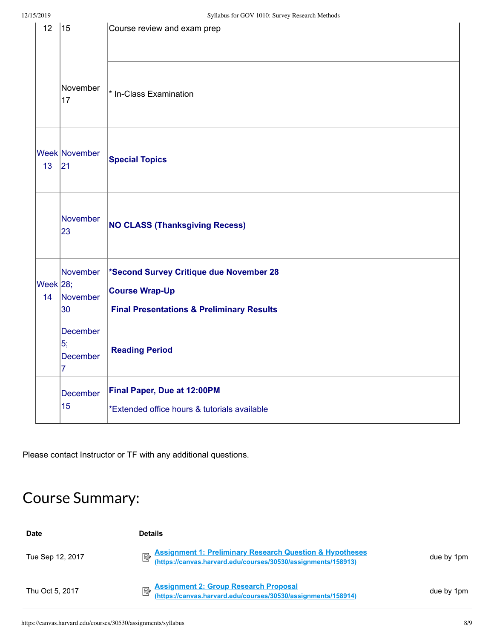| 12                | 15                                           | Course review and exam prep                                                                                              |
|-------------------|----------------------------------------------|--------------------------------------------------------------------------------------------------------------------------|
|                   | November<br>17                               | * In-Class Examination                                                                                                   |
| 13                | Week November<br> 21                         | <b>Special Topics</b>                                                                                                    |
|                   | November<br>23                               | <b>NO CLASS (Thanksgiving Recess)</b>                                                                                    |
| Week $ 28;$<br>14 | November<br>November<br>30                   | *Second Survey Critique due November 28<br><b>Course Wrap-Up</b><br><b>Final Presentations &amp; Preliminary Results</b> |
|                   | December<br>5;<br>December<br>$\overline{7}$ | <b>Reading Period</b>                                                                                                    |
|                   | December<br>15                               | Final Paper, Due at 12:00PM<br>*Extended office hours & tutorials available                                              |

Please contact Instructor or TF with any additional questions.

## Course Summary:

| Date             | <b>Details</b>                                                                                                                  |            |
|------------------|---------------------------------------------------------------------------------------------------------------------------------|------------|
| Tue Sep 12, 2017 | Assignment 1: Preliminary Research Question & Hypotheses<br><u>Muttps://canvas.harvard.edu/courses/30530/assignments/158913</u> | due by 1pm |
| Thu Oct 5, 2017  | Assignment 2: Group Research Proposal<br>(https://canvas.harvard.edu/courses/30530/assignments/158914)                          | due by 1pm |